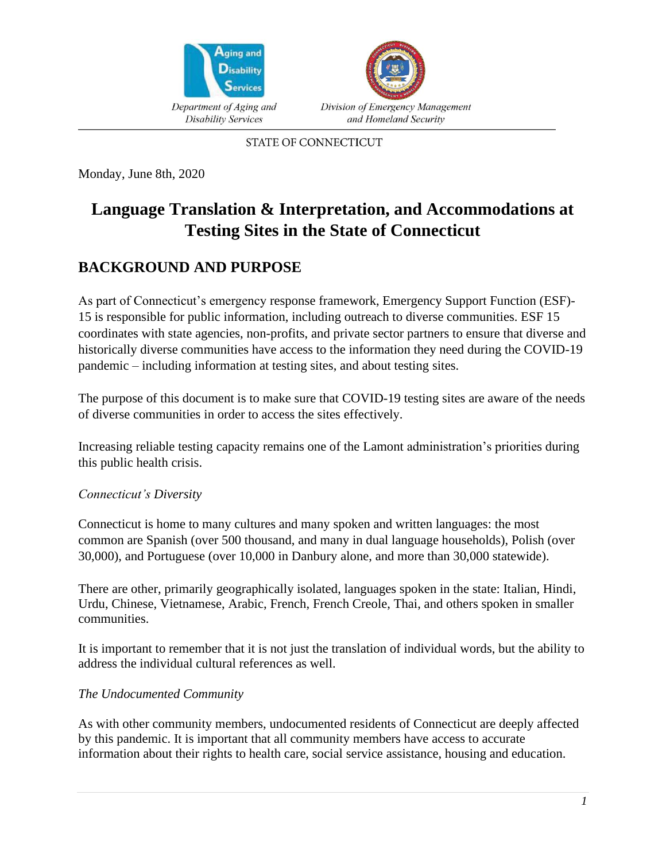



**STATE OF CONNECTICUT** 

Monday, June 8th, 2020

# **Language Translation & Interpretation, and Accommodations at Testing Sites in the State of Connecticut**

## **BACKGROUND AND PURPOSE**

As part of Connecticut's emergency response framework, Emergency Support Function (ESF)- 15 is responsible for public information, including outreach to diverse communities. ESF 15 coordinates with state agencies, non-profits, and private sector partners to ensure that diverse and historically diverse communities have access to the information they need during the COVID-19 pandemic – including information at testing sites, and about testing sites.

The purpose of this document is to make sure that COVID-19 testing sites are aware of the needs of diverse communities in order to access the sites effectively.

Increasing reliable testing capacity remains one of the Lamont administration's priorities during this public health crisis.

#### *Connecticut's Diversity*

Connecticut is home to many cultures and many spoken and written languages: the most common are Spanish (over 500 thousand, and many in dual language households), Polish (over 30,000), and Portuguese (over 10,000 in Danbury alone, and more than 30,000 statewide).

There are other, primarily geographically isolated, languages spoken in the state: Italian, Hindi, Urdu, Chinese, Vietnamese, Arabic, French, French Creole, Thai, and others spoken in smaller communities.

It is important to remember that it is not just the translation of individual words, but the ability to address the individual cultural references as well.

#### *The Undocumented Community*

As with other community members, undocumented residents of Connecticut are deeply affected by this pandemic. It is important that all community members have access to accurate information about their rights to health care, social service assistance, housing and education.